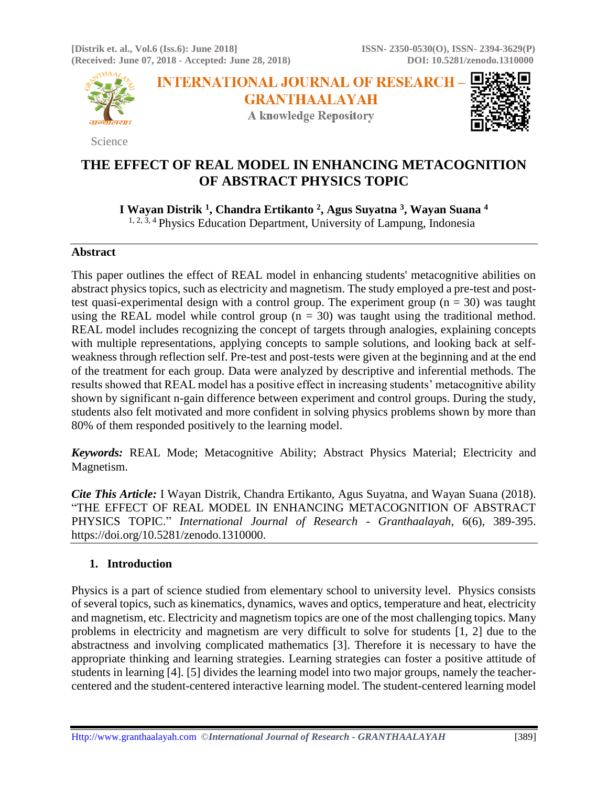**[Distrik et. al., Vol.6 (Iss.6): June 2018] ISSN- 2350-0530(O), ISSN- 2394-3629(P) (Received: June 07, 2018 - Accepted: June 28, 2018) DOI: 10.5281/zenodo.1310000**



Science

**INTERNATIONAL JOURNAL OF RESEARCH -GRANTHAALAYAH A knowledge Repository** 



# **THE EFFECT OF REAL MODEL IN ENHANCING METACOGNITION OF ABSTRACT PHYSICS TOPIC**

**I Wayan Distrik <sup>1</sup> , Chandra Ertikanto <sup>2</sup> , Agus Suyatna <sup>3</sup> , Wayan Suana <sup>4</sup>**

 $1, 2, 3, 4$  Physics Education Department, University of Lampung, Indonesia

## **Abstract**

This paper outlines the effect of REAL model in enhancing students' metacognitive abilities on abstract physics topics, such as electricity and magnetism. The study employed a pre-test and posttest quasi-experimental design with a control group. The experiment group ( $n = 30$ ) was taught using the REAL model while control group  $(n = 30)$  was taught using the traditional method. REAL model includes recognizing the concept of targets through analogies, explaining concepts with multiple representations, applying concepts to sample solutions, and looking back at selfweakness through reflection self. Pre-test and post-tests were given at the beginning and at the end of the treatment for each group. Data were analyzed by descriptive and inferential methods. The results showed that REAL model has a positive effect in increasing students' metacognitive ability shown by significant n-gain difference between experiment and control groups. During the study, students also felt motivated and more confident in solving physics problems shown by more than 80% of them responded positively to the learning model.

*Keywords:* REAL Mode; Metacognitive Ability; Abstract Physics Material; Electricity and Magnetism.

*Cite This Article:* I Wayan Distrik, Chandra Ertikanto, Agus Suyatna, and Wayan Suana (2018). "THE EFFECT OF REAL MODEL IN ENHANCING METACOGNITION OF ABSTRACT PHYSICS TOPIC." *International Journal of Research - Granthaalayah*, 6(6), 389-395. https://doi.org/10.5281/zenodo.1310000.

# **1. Introduction**

Physics is a part of science studied from elementary school to university level. Physics consists of several topics, such as kinematics, dynamics, waves and optics, temperature and heat, electricity and magnetism, etc. Electricity and magnetism topics are one of the most challenging topics. Many problems in electricity and magnetism are very difficult to solve for students [1, 2] due to the abstractness and involving complicated mathematics [3]. Therefore it is necessary to have the appropriate thinking and learning strategies. Learning strategies can foster a positive attitude of students in learning [4]. [5] divides the learning model into two major groups, namely the teachercentered and the student-centered interactive learning model. The student-centered learning model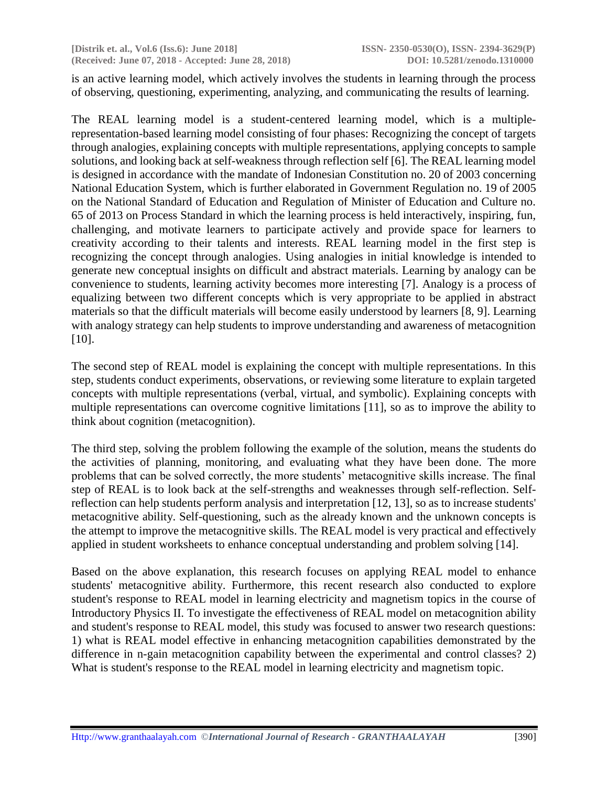is an active learning model, which actively involves the students in learning through the process of observing, questioning, experimenting, analyzing, and communicating the results of learning.

The REAL learning model is a student-centered learning model, which is a multiplerepresentation-based learning model consisting of four phases: Recognizing the concept of targets through analogies, explaining concepts with multiple representations, applying concepts to sample solutions, and looking back at self-weakness through reflection self [6]. The REAL learning model is designed in accordance with the mandate of Indonesian Constitution no. 20 of 2003 concerning National Education System, which is further elaborated in Government Regulation no. 19 of 2005 on the National Standard of Education and Regulation of Minister of Education and Culture no. 65 of 2013 on Process Standard in which the learning process is held interactively, inspiring, fun, challenging, and motivate learners to participate actively and provide space for learners to creativity according to their talents and interests. REAL learning model in the first step is recognizing the concept through analogies. Using analogies in initial knowledge is intended to generate new conceptual insights on difficult and abstract materials. Learning by analogy can be convenience to students, learning activity becomes more interesting [7]. Analogy is a process of equalizing between two different concepts which is very appropriate to be applied in abstract materials so that the difficult materials will become easily understood by learners [8, 9]. Learning with analogy strategy can help students to improve understanding and awareness of metacognition [10].

The second step of REAL model is explaining the concept with multiple representations. In this step, students conduct experiments, observations, or reviewing some literature to explain targeted concepts with multiple representations (verbal, virtual, and symbolic). Explaining concepts with multiple representations can overcome cognitive limitations [11], so as to improve the ability to think about cognition (metacognition).

The third step, solving the problem following the example of the solution, means the students do the activities of planning, monitoring, and evaluating what they have been done. The more problems that can be solved correctly, the more students' metacognitive skills increase. The final step of REAL is to look back at the self-strengths and weaknesses through self-reflection. Selfreflection can help students perform analysis and interpretation [12, 13], so as to increase students' metacognitive ability. Self-questioning, such as the already known and the unknown concepts is the attempt to improve the metacognitive skills. The REAL model is very practical and effectively applied in student worksheets to enhance conceptual understanding and problem solving [14].

Based on the above explanation, this research focuses on applying REAL model to enhance students' metacognitive ability. Furthermore, this recent research also conducted to explore student's response to REAL model in learning electricity and magnetism topics in the course of Introductory Physics II. To investigate the effectiveness of REAL model on metacognition ability and student's response to REAL model, this study was focused to answer two research questions: 1) what is REAL model effective in enhancing metacognition capabilities demonstrated by the difference in n-gain metacognition capability between the experimental and control classes? 2) What is student's response to the REAL model in learning electricity and magnetism topic.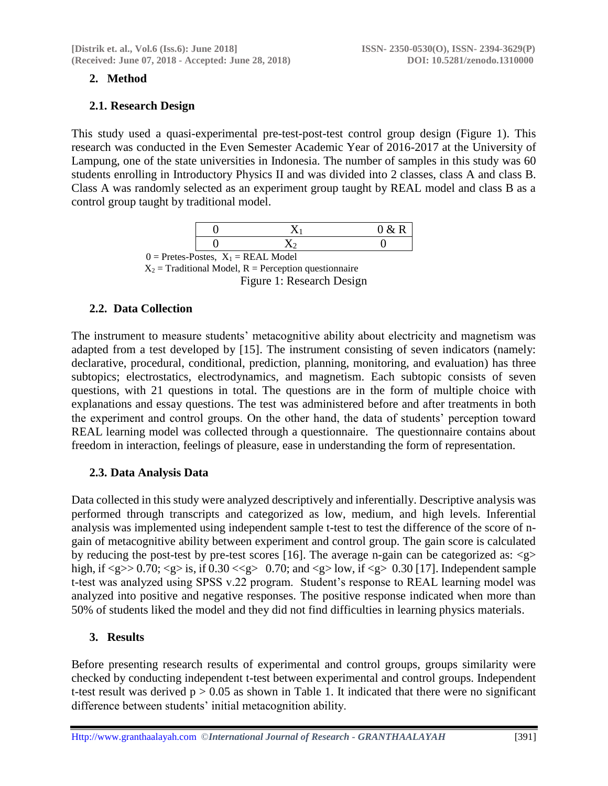# **2. Method**

## **2.1. Research Design**

This study used a quasi-experimental pre-test-post-test control group design (Figure 1). This research was conducted in the Even Semester Academic Year of 2016-2017 at the University of Lampung, one of the state universities in Indonesia. The number of samples in this study was 60 students enrolling in Introductory Physics II and was divided into 2 classes, class A and class B. Class A was randomly selected as an experiment group taught by REAL model and class B as a control group taught by traditional model.

|  | U |
|--|---|
|  |   |

 $0 =$  Pretes-Postes,  $X_1 =$  REAL Model  $X_2$  = Traditional Model, R = Perception questionnaire Figure 1: Research Design

# **2.2. Data Collection**

The instrument to measure students' metacognitive ability about electricity and magnetism was adapted from a test developed by [15]. The instrument consisting of seven indicators (namely: declarative, procedural, conditional, prediction, planning, monitoring, and evaluation) has three subtopics; electrostatics, electrodynamics, and magnetism. Each subtopic consists of seven questions, with 21 questions in total. The questions are in the form of multiple choice with explanations and essay questions. The test was administered before and after treatments in both the experiment and control groups. On the other hand, the data of students' perception toward REAL learning model was collected through a questionnaire. The questionnaire contains about freedom in interaction, feelings of pleasure, ease in understanding the form of representation.

# **2.3. Data Analysis Data**

Data collected in this study were analyzed descriptively and inferentially. Descriptive analysis was performed through transcripts and categorized as low, medium, and high levels. Inferential analysis was implemented using independent sample t-test to test the difference of the score of ngain of metacognitive ability between experiment and control group. The gain score is calculated by reducing the post-test by pre-test scores [16]. The average n-gain can be categorized as:  $\langle g \rangle$ high, if  $\langle$ g $>$  0.70;  $\langle$ g $>$  is, if 0.30  $\langle$  $\langle$ g $>$  0.70; and  $\langle$ g $>$  low, if  $\langle$ g $>$  0.30 [17]. Independent sample t-test was analyzed using SPSS v.22 program. Student's response to REAL learning model was analyzed into positive and negative responses. The positive response indicated when more than 50% of students liked the model and they did not find difficulties in learning physics materials.

## **3. Results**

Before presenting research results of experimental and control groups, groups similarity were checked by conducting independent t-test between experimental and control groups. Independent t-test result was derived  $p > 0.05$  as shown in Table 1. It indicated that there were no significant difference between students' initial metacognition ability.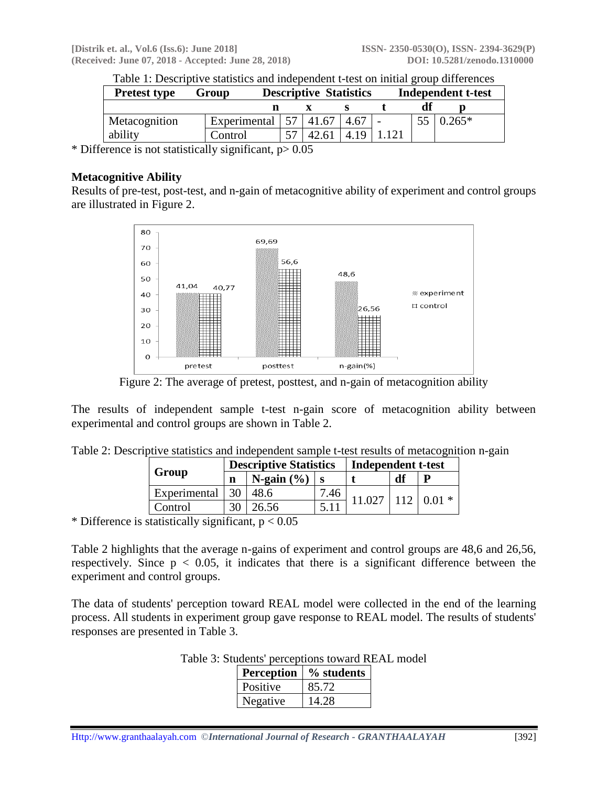| <b>Pretest type</b> | Group        | <b>Descriptive Statistics</b> |  |      | <b>Independent t-test</b> |  |         |
|---------------------|--------------|-------------------------------|--|------|---------------------------|--|---------|
|                     |              |                               |  |      |                           |  |         |
| Metacognition       | Experimental |                               |  | 4.67 |                           |  | $.265*$ |
| ability             | Control      |                               |  | 4.19 |                           |  |         |

Table 1: Descriptive statistics and independent t-test on initial group differences

\* Difference is not statistically significant,  $p > 0.05$ 

#### **Metacognitive Ability**

Results of pre-test, post-test, and n-gain of metacognitive ability of experiment and control groups are illustrated in Figure 2.



Figure 2: The average of pretest, posttest, and n-gain of metacognition ability

The results of independent sample t-test n-gain score of metacognition ability between experimental and control groups are shown in Table 2.

|              | <b>Descriptive Statistics</b> |                |      | Independent t-test |    |  |  |
|--------------|-------------------------------|----------------|------|--------------------|----|--|--|
| Group        |                               | N-gain $(\% )$ |      |                    | df |  |  |
| Experimental |                               | 18.6           | 7.46 |                    |    |  |  |
| Control      |                               | 6.56           |      |                    |    |  |  |

Table 2: Descriptive statistics and independent sample t-test results of metacognition n-gain

\* Difference is statistically significant,  $p < 0.05$ 

Table 2 highlights that the average n-gains of experiment and control groups are 48,6 and 26,56, respectively. Since  $p < 0.05$ , it indicates that there is a significant difference between the experiment and control groups.

The data of students' perception toward REAL model were collected in the end of the learning process. All students in experiment group gave response to REAL model. The results of students' responses are presented in Table 3.

| <b>Perception</b> | % students |
|-------------------|------------|
| Positive          | 85.72      |
| Negative          | 4.28       |

| Table 3: Students' perceptions toward REAL model |  |  |  |
|--------------------------------------------------|--|--|--|
|--------------------------------------------------|--|--|--|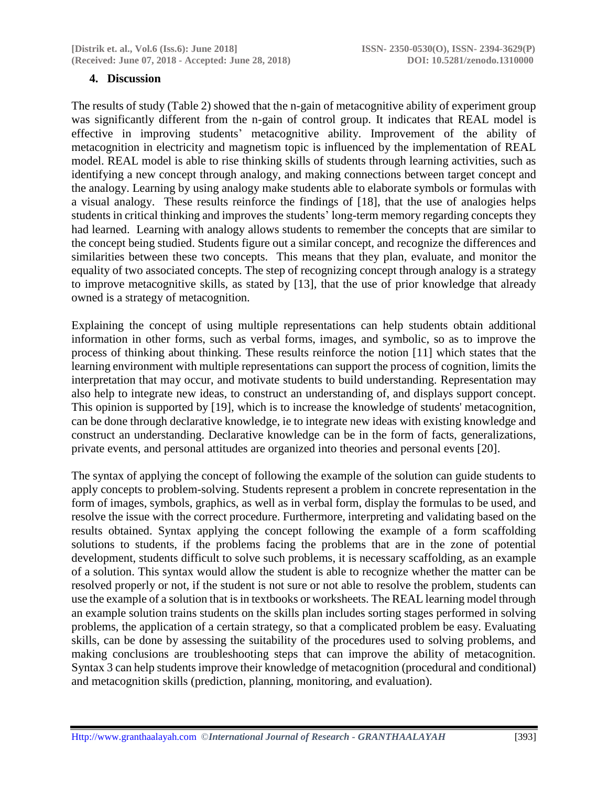### **4. Discussion**

The results of study (Table 2) showed that the n-gain of metacognitive ability of experiment group was significantly different from the n-gain of control group. It indicates that REAL model is effective in improving students' metacognitive ability. Improvement of the ability of metacognition in electricity and magnetism topic is influenced by the implementation of REAL model. REAL model is able to rise thinking skills of students through learning activities, such as identifying a new concept through analogy, and making connections between target concept and the analogy. Learning by using analogy make students able to elaborate symbols or formulas with a visual analogy. These results reinforce the findings of [18], that the use of analogies helps students in critical thinking and improves the students' long-term memory regarding concepts they had learned. Learning with analogy allows students to remember the concepts that are similar to the concept being studied. Students figure out a similar concept, and recognize the differences and similarities between these two concepts. This means that they plan, evaluate, and monitor the equality of two associated concepts. The step of recognizing concept through analogy is a strategy to improve metacognitive skills, as stated by [13], that the use of prior knowledge that already owned is a strategy of metacognition.

Explaining the concept of using multiple representations can help students obtain additional information in other forms, such as verbal forms, images, and symbolic, so as to improve the process of thinking about thinking. These results reinforce the notion [11] which states that the learning environment with multiple representations can support the process of cognition, limits the interpretation that may occur, and motivate students to build understanding. Representation may also help to integrate new ideas, to construct an understanding of, and displays support concept. This opinion is supported by [19], which is to increase the knowledge of students' metacognition, can be done through declarative knowledge, ie to integrate new ideas with existing knowledge and construct an understanding. Declarative knowledge can be in the form of facts, generalizations, private events, and personal attitudes are organized into theories and personal events [20].

The syntax of applying the concept of following the example of the solution can guide students to apply concepts to problem-solving. Students represent a problem in concrete representation in the form of images, symbols, graphics, as well as in verbal form, display the formulas to be used, and resolve the issue with the correct procedure. Furthermore, interpreting and validating based on the results obtained. Syntax applying the concept following the example of a form scaffolding solutions to students, if the problems facing the problems that are in the zone of potential development, students difficult to solve such problems, it is necessary scaffolding, as an example of a solution. This syntax would allow the student is able to recognize whether the matter can be resolved properly or not, if the student is not sure or not able to resolve the problem, students can use the example of a solution that is in textbooks or worksheets. The REAL learning model through an example solution trains students on the skills plan includes sorting stages performed in solving problems, the application of a certain strategy, so that a complicated problem be easy. Evaluating skills, can be done by assessing the suitability of the procedures used to solving problems, and making conclusions are troubleshooting steps that can improve the ability of metacognition. Syntax 3 can help students improve their knowledge of metacognition (procedural and conditional) and metacognition skills (prediction, planning, monitoring, and evaluation).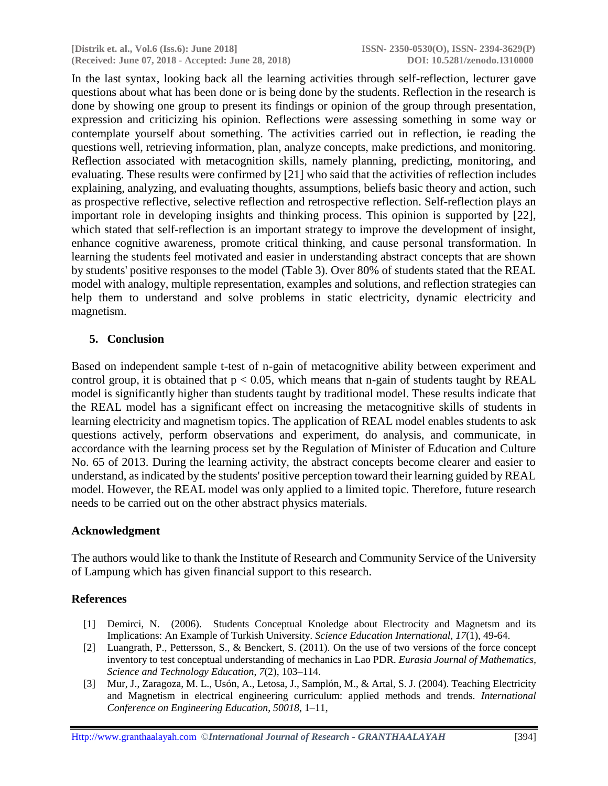**[Distrik et. al., Vol.6 (Iss.6): June 2018] ISSN- 2350-0530(O), ISSN- 2394-3629(P) (Received: June 07, 2018 - Accepted: June 28, 2018) DOI: 10.5281/zenodo.1310000**

In the last syntax, looking back all the learning activities through self-reflection, lecturer gave questions about what has been done or is being done by the students. Reflection in the research is done by showing one group to present its findings or opinion of the group through presentation, expression and criticizing his opinion. Reflections were assessing something in some way or contemplate yourself about something. The activities carried out in reflection, ie reading the questions well, retrieving information, plan, analyze concepts, make predictions, and monitoring. Reflection associated with metacognition skills, namely planning, predicting, monitoring, and evaluating. These results were confirmed by [21] who said that the activities of reflection includes explaining, analyzing, and evaluating thoughts, assumptions, beliefs basic theory and action, such as prospective reflective, selective reflection and retrospective reflection. Self-reflection plays an important role in developing insights and thinking process. This opinion is supported by [22], which stated that self-reflection is an important strategy to improve the development of insight, enhance cognitive awareness, promote critical thinking, and cause personal transformation. In learning the students feel motivated and easier in understanding abstract concepts that are shown by students' positive responses to the model (Table 3). Over 80% of students stated that the REAL model with analogy, multiple representation, examples and solutions, and reflection strategies can help them to understand and solve problems in static electricity, dynamic electricity and magnetism.

### **5. Conclusion**

Based on independent sample t-test of n-gain of metacognitive ability between experiment and control group, it is obtained that  $p < 0.05$ , which means that n-gain of students taught by REAL model is significantly higher than students taught by traditional model. These results indicate that the REAL model has a significant effect on increasing the metacognitive skills of students in learning electricity and magnetism topics. The application of REAL model enables students to ask questions actively, perform observations and experiment, do analysis, and communicate, in accordance with the learning process set by the Regulation of Minister of Education and Culture No. 65 of 2013. During the learning activity, the abstract concepts become clearer and easier to understand, as indicated by the students' positive perception toward their learning guided by REAL model. However, the REAL model was only applied to a limited topic. Therefore, future research needs to be carried out on the other abstract physics materials.

#### **Acknowledgment**

The authors would like to thank the Institute of Research and Community Service of the University of Lampung which has given financial support to this research.

#### **References**

- [1] Demirci, N. (2006). Students Conceptual Knoledge about Electrocity and Magnetsm and its Implications: An Example of Turkish University. *Science Education International, 17*(1), 49-64.
- [2] Luangrath, P., Pettersson, S., & Benckert, S. (2011). On the use of two versions of the force concept inventory to test conceptual understanding of mechanics in Lao PDR. *Eurasia Journal of Mathematics, Science and Technology Education*, *7*(2), 103–114.
- [3] Mur, J., Zaragoza, M. L., Usón, A., Letosa, J., Samplón, M., & Artal, S. J. (2004). Teaching Electricity and Magnetism in electrical engineering curriculum: applied methods and trends. *International Conference on Engineering Education*, *50018*, 1–11,